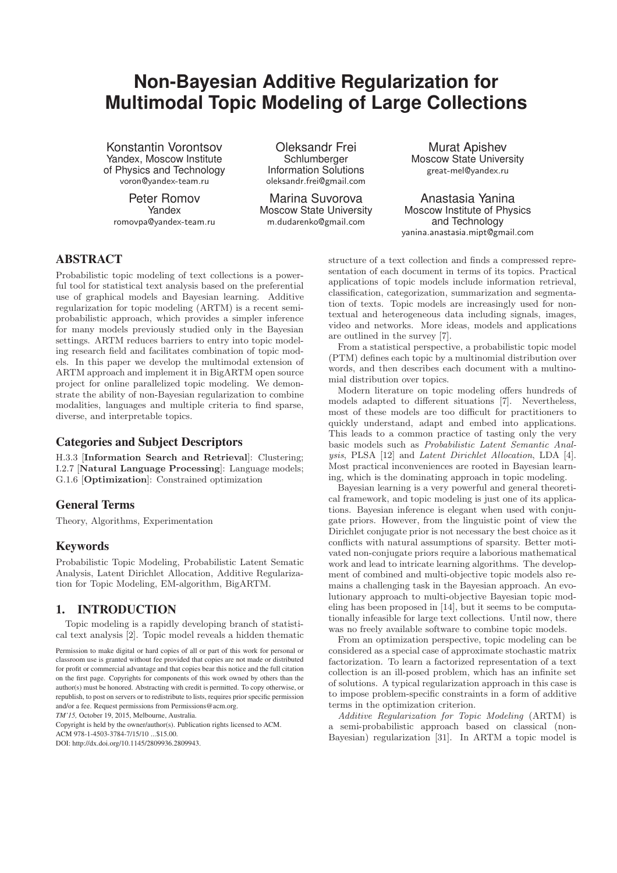# **Non-Bayesian Additive Regularization for Multimodal Topic Modeling of Large Collections**

Konstantin Vorontsov Yandex, Moscow Institute of Physics and Technology voron@yandex-team.ru

Peter Romov Yandex romovpa@yandex-team.ru

Oleksandr Frei **Schlumberger** Information Solutions oleksandr.frei@gmail.com

Marina Suvorova Moscow State University m.dudarenko@gmail.com

Murat Apishev Moscow State University great-mel@yandex.ru

Anastasia Yanina Moscow Institute of Physics and Technology yanina.anastasia.mipt@gmail.com

# **ABSTRACT**

Probabilistic topic modeling of text collections is a powerful tool for statistical text analysis based on the preferential use of graphical models and Bayesian learning. Additive regularization for topic modeling (ARTM) is a recent semiprobabilistic approach, which provides a simpler inference for many models previously studied only in the Bayesian settings. ARTM reduces barriers to entry into topic modeling research field and facilitates combination of topic models. In this paper we develop the multimodal extension of ARTM approach and implement it in BigARTM open source project for online parallelized topic modeling. We demonstrate the ability of non-Bayesian regularization to combine modalities, languages and multiple criteria to find sparse, diverse, and interpretable topics.

# **Categories and Subject Descriptors**

H.3.3 [Information Search and Retrieval]: Clustering; I.2.7 [Natural Language Processing]: Language models; G.1.6 [Optimization]: Constrained optimization

# **General Terms**

Theory, Algorithms, Experimentation

## **Keywords**

Probabilistic Topic Modeling, Probabilistic Latent Sematic Analysis, Latent Dirichlet Allocation, Additive Regularization for Topic Modeling, EM-algorithm, BigARTM.

# **1. INTRODUCTION**

Topic modeling is a rapidly developing branch of statistical text analysis [2]. Topic model reveals a hidden thematic

Copyright is held by the owner/author(s). Publication rights licensed to ACM.

DOI: http://dx.doi.org/10.1145/2809936.2809943.

structure of a text collection and finds a compressed representation of each document in terms of its topics. Practical applications of topic models include information retrieval, classification, categorization, summarization and segmentation of texts. Topic models are increasingly used for nontextual and heterogeneous data including signals, images, video and networks. More ideas, models and applications are outlined in the survey [7].

From a statistical perspective, a probabilistic topic model (PTM) defines each topic by a multinomial distribution over words, and then describes each document with a multinomial distribution over topics.

Modern literature on topic modeling offers hundreds of models adapted to different situations [7]. Nevertheless, most of these models are too difficult for practitioners to quickly understand, adapt and embed into applications. This leads to a common practice of tasting only the very basic models such as Probabilistic Latent Semantic Analysis, PLSA [12] and Latent Dirichlet Allocation, LDA [4]. Most practical inconveniences are rooted in Bayesian learning, which is the dominating approach in topic modeling.

Bayesian learning is a very powerful and general theoretical framework, and topic modeling is just one of its applications. Bayesian inference is elegant when used with conjugate priors. However, from the linguistic point of view the Dirichlet conjugate prior is not necessary the best choice as it conflicts with natural assumptions of sparsity. Better motivated non-conjugate priors require a laborious mathematical work and lead to intricate learning algorithms. The development of combined and multi-objective topic models also remains a challenging task in the Bayesian approach. An evolutionary approach to multi-objective Bayesian topic modeling has been proposed in [14], but it seems to be computationally infeasible for large text collections. Until now, there was no freely available software to combine topic models.

From an optimization perspective, topic modeling can be considered as a special case of approximate stochastic matrix factorization. To learn a factorized representation of a text collection is an ill-posed problem, which has an infinite set of solutions. A typical regularization approach in this case is to impose problem-specific constraints in a form of additive terms in the optimization criterion.

Additive Regularization for Topic Modeling (ARTM) is a semi-probabilistic approach based on classical (non-Bayesian) regularization [31]. In ARTM a topic model is

Permission to make digital or hard copies of all or part of this work for personal or classroom use is granted without fee provided that copies are not made or distributed for profit or commercial advantage and that copies bear this notice and the full citation on the first page. Copyrights for components of this work owned by others than the author(s) must be honored. Abstracting with credit is permitted. To copy otherwise, or republish, to post on servers or to redistribute to lists, requires prior specific permission and/or a fee. Request permissions from Permissions@acm.org.

*TM'15,* October 19, 2015, Melbourne, Australia.

ACM 978-1-4503-3784-7/15/10 ...\$15.00.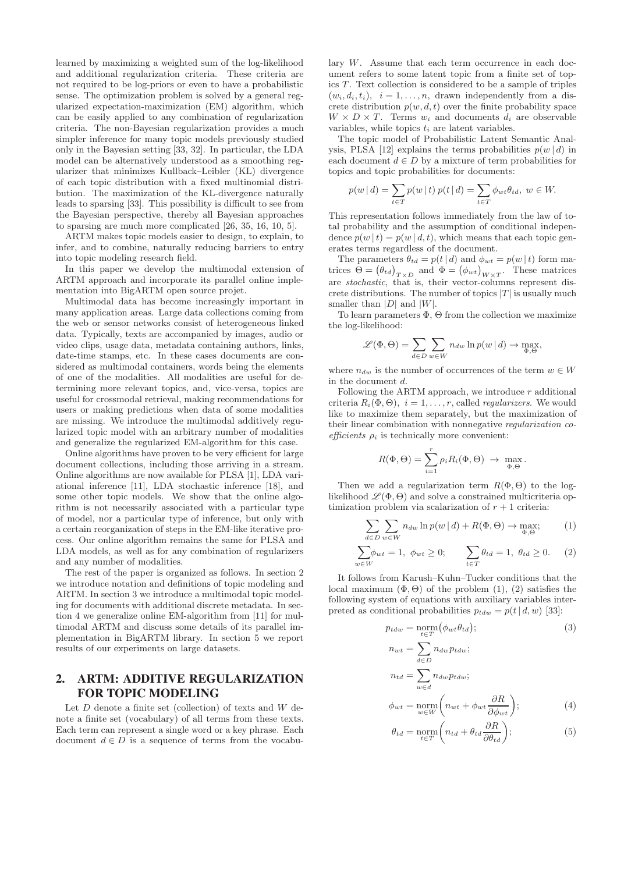learned by maximizing a weighted sum of the log-likelihood and additional regularization criteria. These criteria are not required to be log-priors or even to have a probabilistic sense. The optimization problem is solved by a general regularized expectation-maximization (EM) algorithm, which can be easily applied to any combination of regularization criteria. The non-Bayesian regularization provides a much simpler inference for many topic models previously studied only in the Bayesian setting [33, 32]. In particular, the LDA model can be alternatively understood as a smoothing regularizer that minimizes Kullback–Leibler (KL) divergence of each topic distribution with a fixed multinomial distribution. The maximization of the KL-divergence naturally leads to sparsing [33]. This possibility is difficult to see from the Bayesian perspective, thereby all Bayesian approaches to sparsing are much more complicated [26, 35, 16, 10, 5].

ARTM makes topic models easier to design, to explain, to infer, and to combine, naturally reducing barriers to entry into topic modeling research field.

In this paper we develop the multimodal extension of ARTM approach and incorporate its parallel online implementation into BigARTM open source projet.

Multimodal data has become increasingly important in many application areas. Large data collections coming from the web or sensor networks consist of heterogeneous linked data. Typically, texts are accompanied by images, audio or video clips, usage data, metadata containing authors, links, date-time stamps, etc. In these cases documents are considered as multimodal containers, words being the elements of one of the modalities. All modalities are useful for determining more relevant topics, and, vice-versa, topics are useful for crossmodal retrieval, making recommendations for users or making predictions when data of some modalities are missing. We introduce the multimodal additively regularized topic model with an arbitrary number of modalities and generalize the regularized EM-algorithm for this case.

Online algorithms have proven to be very efficient for large document collections, including those arriving in a stream. Online algorithms are now available for PLSA [1], LDA variational inference [11], LDA stochastic inference [18], and some other topic models. We show that the online algorithm is not necessarily associated with a particular type of model, nor a particular type of inference, but only with a certain reorganization of steps in the EM-like iterative process. Our online algorithm remains the same for PLSA and LDA models, as well as for any combination of regularizers and any number of modalities.

The rest of the paper is organized as follows. In section 2 we introduce notation and definitions of topic modeling and ARTM. In section 3 we introduce a multimodal topic modeling for documents with additional discrete metadata. In section 4 we generalize online EM-algorithm from [11] for multimodal ARTM and discuss some details of its parallel implementation in BigARTM library. In section 5 we report results of our experiments on large datasets.

# **2. ARTM: ADDITIVE REGULARIZATION FOR TOPIC MODELING**

Let  $D$  denote a finite set (collection) of texts and  $W$  denote a finite set (vocabulary) of all terms from these texts. Each term can represent a single word or a key phrase. Each document  $d \in D$  is a sequence of terms from the vocabulary  $W$ . Assume that each term occurrence in each document refers to some latent topic from a finite set of topics  $T$ . Text collection is considered to be a sample of triples  $(w_i, d_i, t_i), i = 1, \ldots, n$ , drawn independently from a discrete distribution  $p(w, d, t)$  over the finite probability space  $W \times D \times T$ . Terms  $w_i$  and documents  $d_i$  are observable variables, while topics  $t_i$  are latent variables.

The topic model of Probabilistic Latent Semantic Analysis, PLSA [12] explains the terms probabilities  $p(w | d)$  in each document  $d \in D$  by a mixture of term probabilities for topics and topic probabilities for documents:

$$
p(w | d) = \sum_{t \in T} p(w | t) p(t | d) = \sum_{t \in T} \phi_{wt} \theta_{td}, \ w \in W.
$$

This representation follows immediately from the law of total probability and the assumption of conditional independence  $p(w | t) = p(w | d, t)$ , which means that each topic generates terms regardless of the document.

The parameters  $\theta_{td} = p(t | d)$  and  $\phi_{wt} = p(w | t)$  form matrices  $\Theta = (\theta_{td})_{T \times D}$  and  $\Phi = (\phi_{wt})_{W \times T}$ . These matrices are *stochastic*, that is, their vector-columns represent discrete distributions. The number of topics  $|T|$  is usually much smaller than  $|D|$  and  $|W|$ .

To learn parameters  $\Phi$ ,  $\Theta$  from the collection we maximize the log-likelihood:

$$
\mathcal{L}(\Phi,\Theta) = \sum_{d \in D} \sum_{w \in W} n_{dw} \ln p(w | d) \to \max_{\Phi,\Theta},
$$

where  $n_{dw}$  is the number of occurrences of the term  $w \in W$ in the document d.

Following the ARTM approach, we introduce  $r$  additional criteria  $R_i(\Phi, \Theta)$ ,  $i = 1, \ldots, r$ , called *regularizers*. We would like to maximize them separately, but the maximization of their linear combination with nonnegative regularization coefficients  $\rho_i$  is technically more convenient:

$$
R(\Phi, \Theta) = \sum_{i=1}^{r} \rho_i R_i(\Phi, \Theta) \rightarrow \max_{\Phi, \Theta}.
$$

Then we add a regularization term  $R(\Phi, \Theta)$  to the loglikelihood  $\mathscr{L}(\Phi,\Theta)$  and solve a constrained multicriteria optimization problem via scalarization of  $r + 1$  criteria:

$$
\sum_{d \in D} \sum_{w \in W} n_{dw} \ln p(w | d) + R(\Phi, \Theta) \to \max_{\Phi, \Theta} ; \tag{1}
$$

$$
\sum_{w \in W} \phi_{wt} = 1, \ \phi_{wt} \ge 0; \qquad \sum_{t \in T} \theta_{td} = 1, \ \theta_{td} \ge 0. \tag{2}
$$

It follows from Karush–Kuhn–Tucker conditions that the local maximum  $(\Phi, \Theta)$  of the problem  $(1)$ ,  $(2)$  satisfies the following system of equations with auxiliary variables interpreted as conditional probabilities  $p_{tdw} = p(t | d, w)$  [33]:

$$
p_{tdw} = \underset{t \in T}{\text{norm}} (\phi_{wt} \theta_{td}); \tag{3}
$$

$$
n_{wt} = \sum_{d \in D} n_{dw} p_{tdw};
$$
  

$$
n_{td} = \sum_{w \in d} n_{dw} p_{tdw};
$$

$$
\phi_{wt} = \underset{w \in W}{\text{norm}} \bigg( n_{wt} + \phi_{wt} \frac{\partial R}{\partial \phi_{wt}} \bigg); \tag{4}
$$

$$
\theta_{td} = \underset{t \in T}{\text{norm}} \bigg( n_{td} + \theta_{td} \frac{\partial R}{\partial \theta_{td}} \bigg); \tag{5}
$$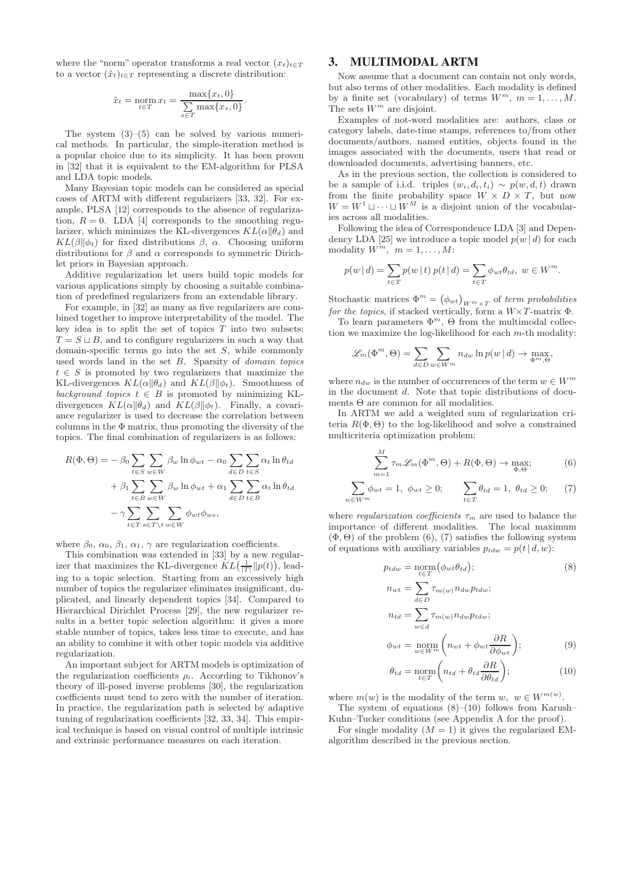where the "norm" operator transforms a real vector  $(x_t)_{t\in T}$ to a vector  $(\tilde{x}_t)_{t \in T}$  representing a discrete distribution:

$$
\tilde{x}_t = \operatorname*{norm}_{t \in T} x_t = \frac{\max\{x_t, 0\}}{\sum_{s \in T} \max\{x_s, 0\}}.
$$

The system  $(3)$ – $(5)$  can be solved by various numerical methods. In particular, the simple-iteration method is a popular choice due to its simplicity. It has been proven in [32] that it is equivalent to the EM-algorithm for PLSA and LDA topic models.

Many Bayesian topic models can be considered as special cases of ARTM with different regularizers [33, 32]. For example, PLSA [12] corresponds to the absence of regularization,  $R = 0$ . LDA [4] corresponds to the smoothing regularizer, which minimizes the KL-divergences  $KL(\alpha||\theta_d)$  and  $KL(\beta||\phi_t)$  for fixed distributions  $\beta$ ,  $\alpha$ . Choosing uniform distributions for  $\beta$  and  $\alpha$  corresponds to symmetric Dirichlet priors in Bayesian approach.

Additive regularization let users build topic models for various applications simply by choosing a suitable combination of predefined regularizers from an extendable library.

For example, in [32] as many as five regularizers are combined together to improve interpretability of the model. The key idea is to split the set of topics  $T$  into two subsets:  $T = S \sqcup B$ , and to configure regularizers in such a way that domain-specific terms go into the set  $S$ , while commonly used words land in the set B. Sparsity of domain topics  $t \in S$  is promoted by two regularizers that maximize the KL-divergences  $KL(\alpha||\theta_d)$  and  $KL(\beta||\phi_t)$ . Smoothness of background topics  $t \in B$  is promoted by minimizing KLdivergences  $KL(\alpha||\theta_d)$  and  $KL(\beta||\phi_t)$ . Finally, a covariance regularizer is used to decrease the correlation between columns in the  $\Phi$  matrix, thus promoting the diversity of the topics. The final combination of regularizers is as follows:

$$
R(\Phi, \Theta) = -\beta_0 \sum_{t \in S} \sum_{w \in W} \beta_w \ln \phi_{wt} - \alpha_0 \sum_{d \in D} \sum_{t \in S} \alpha_t \ln \theta_{td}
$$
  
+  $\beta_1 \sum_{t \in B} \sum_{w \in W} \beta_w \ln \phi_{wt} + \alpha_1 \sum_{d \in D} \sum_{t \in B} \alpha_t \ln \theta_{td}$   
-  $\gamma \sum_{t \in T} \sum_{s \in T \setminus t} \sum_{w \in W} \phi_{wt} \phi_{ws},$ 

where  $\beta_0$ ,  $\alpha_0$ ,  $\beta_1$ ,  $\alpha_1$ ,  $\gamma$  are regularization coefficients.

This combination was extended in [33] by a new regularizer that maximizes the KL-divergence  $KL(\frac{1}{|T|} || p(t))$ , leading to a topic selection. Starting from an excessively high number of topics the regularizer eliminates insignificant, duplicated, and linearly dependent topics [34]. Compared to Hierarchical Dirichlet Process [29], the new regularizer results in a better topic selection algorithm: it gives a more stable number of topics, takes less time to execute, and has an ability to combine it with other topic models via additive regularization.

An important subject for ARTM models is optimization of the regularization coefficients  $\rho_i$ . According to Tikhonov's theory of ill-posed inverse problems [30], the regularization coefficients must tend to zero with the number of iteration. In practice, the regularization path is selected by adaptive tuning of regularization coefficients [32, 33, 34]. This empirical technique is based on visual control of multiple intrinsic and extrinsic performance measures on each iteration.

## **3. MULTIMODAL ARTM**

Now assume that a document can contain not only words, but also terms of other modalities. Each modality is defined by a finite set (vocabulary) of terms  $W^m$ ,  $m = 1, ..., M$ . The sets  $W^m$  are disjoint.

Examples of not-word modalities are: authors, class or category labels, date-time stamps, references to/from other documents/authors, named entities, objects found in the images associated with the documents, users that read or downloaded documents, advertising banners, etc.

As in the previous section, the collection is considered to be a sample of i.i.d. triples  $(w_i, d_i, t_i) \sim p(w, d, t)$  drawn from the finite probability space  $W \times D \times T$ , but now  $W = W^1 \sqcup \cdots \sqcup W^M$  is a disjoint union of the vocabularies across all modalities.

Following the idea of Correspondence LDA [3] and Dependency LDA [25] we introduce a topic model  $p(w | d)$  for each modality  $W^m$ ,  $m = 1, \ldots, M$ :

$$
p(w | d) = \sum_{t \in T} p(w | t) p(t | d) = \sum_{t \in T} \phi_{wt} \theta_{td}, \ w \in W^m.
$$

Stochastic matrices  $\Phi^m = (\phi_{wt})_{W^m \times T}$  of term probabilities for the topics, if stacked vertically, form a  $W \times T$ -matrix  $\Phi$ .

To learn parameters  $\Phi^m$ ,  $\Theta$  from the multimodal collection we maximize the log-likelihood for each  $m$ -th modality:

$$
\mathscr{L}_m(\Phi^m, \Theta) = \sum_{d \in D} \sum_{w \in W^m} n_{dw} \ln p(w | d) \to \max_{\Phi^m, \Theta},
$$

where  $n_{dw}$  is the number of occurrences of the term  $w \in W^m$ in the document d. Note that topic distributions of documents  $\Theta$  are common for all modalities.

In ARTM we add a weighted sum of regularization criteria  $R(\Phi, \Theta)$  to the log-likelihood and solve a constrained multicriteria optimization problem:

$$
\sum_{m=1}^{M} \tau_m \mathcal{L}_m(\Phi^m, \Theta) + R(\Phi, \Theta) \to \max_{\Phi, \Theta};\tag{6}
$$

$$
\sum_{w \in W^m} \phi_{wt} = 1, \ \phi_{wt} \ge 0; \qquad \sum_{t \in T} \theta_{td} = 1, \ \theta_{td} \ge 0; \qquad (7)
$$

where *regularization coefficients*  $\tau_m$  are used to balance the importance of different modalities. The local maximum  $(\Phi, \Theta)$  of the problem  $(6)$ ,  $(7)$  satisfies the following system of equations with auxiliary variables  $p_{tdw} = p(t | d, w)$ :

$$
p_{tdw} = \underset{t \in T}{\text{norm}} (\phi_{wt} \theta_{td}); \tag{8}
$$

$$
n_{wt} = \sum_{d \in D} \tau_{m(w)} n_{dw} p_{tdw};
$$
  
\n
$$
n_{td} = \sum_{w \in d} \tau_{m(w)} n_{dw} p_{tdw};
$$
  
\n
$$
\phi_{wt} = \underset{w \in W^m}{\text{norm}} \left( n_{wt} + \phi_{wt} \frac{\partial R}{\partial \phi_{wt}} \right);
$$
\n(9)

$$
\theta_{td} = \underset{t \in T}{\text{norm}} \left( n_{td} + \theta_{td} \frac{\partial R}{\partial \theta_{td}} \right); \tag{10}
$$

where  $m(w)$  is the modality of the term  $w, w \in W^{m(w)}$ . The system of equations  $(8)$ – $(10)$  follows from Karush–

Kuhn–Tucker conditions (see Appendix A for the proof). For single modality  $(M = 1)$  it gives the regularized EM-

algorithm described in the previous section.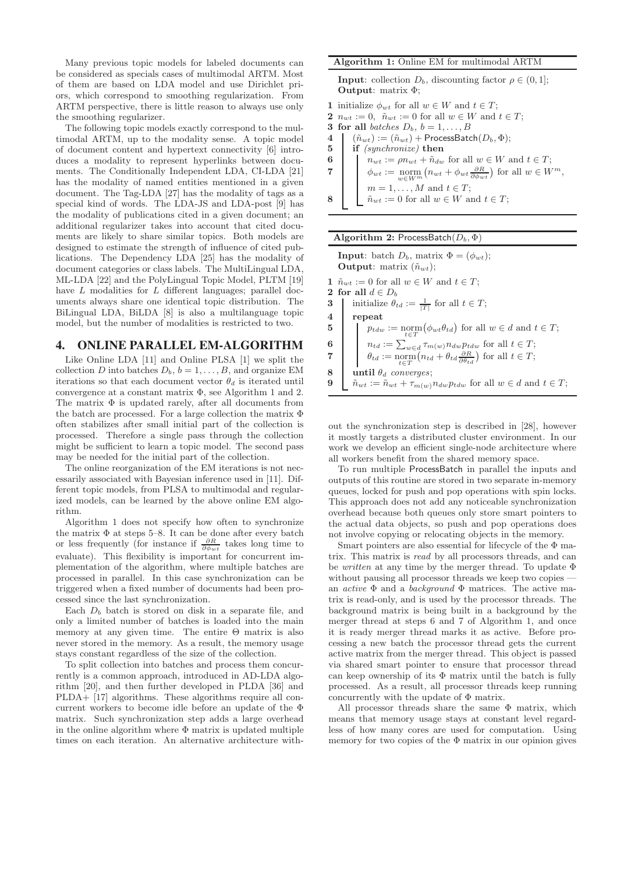Many previous topic models for labeled documents can be considered as specials cases of multimodal ARTM. Most of them are based on LDA model and use Dirichlet priors, which correspond to smoothing regularization. From ARTM perspective, there is little reason to always use only the smoothing regularizer.

The following topic models exactly correspond to the multimodal ARTM, up to the modality sense. A topic model of document content and hypertext connectivity [6] introduces a modality to represent hyperlinks between documents. The Conditionally Independent LDA, CI-LDA [21] has the modality of named entities mentioned in a given document. The Tag-LDA [27] has the modality of tags as a special kind of words. The LDA-JS and LDA-post [9] has the modality of publications cited in a given document; an additional regularizer takes into account that cited documents are likely to share similar topics. Both models are designed to estimate the strength of influence of cited publications. The Dependency LDA [25] has the modality of document categories or class labels. The MultiLingual LDA, ML-LDA [22] and the PolyLingual Topic Model, PLTM [19] have L modalities for L different languages; parallel documents always share one identical topic distribution. The BiLingual LDA, BiLDA [8] is also a multilanguage topic model, but the number of modalities is restricted to two.

### **4. ONLINE PARALLEL EM-ALGORITHM**

Like Online LDA [11] and Online PLSA [1] we split the collection D into batches  $D_b$ ,  $b = 1, \ldots, B$ , and organize EM iterations so that each document vector  $\theta_d$  is iterated until convergence at a constant matrix Φ, see Algorithm 1 and 2. The matrix  $\Phi$  is updated rarely, after all documents from the batch are processed. For a large collection the matrix Φ often stabilizes after small initial part of the collection is processed. Therefore a single pass through the collection might be sufficient to learn a topic model. The second pass may be needed for the initial part of the collection.

The online reorganization of the EM iterations is not necessarily associated with Bayesian inference used in [11]. Different topic models, from PLSA to multimodal and regularized models, can be learned by the above online EM algorithm.

Algorithm 1 does not specify how often to synchronize the matrix  $\Phi$  at steps 5–8. It can be done after every batch or less frequently (for instance if  $\frac{\partial R}{\partial \phi_{wt}}$  takes long time to evaluate). This flexibility is important for concurrent implementation of the algorithm, where multiple batches are processed in parallel. In this case synchronization can be triggered when a fixed number of documents had been processed since the last synchronization.

Each  $D_b$  batch is stored on disk in a separate file, and only a limited number of batches is loaded into the main memory at any given time. The entire  $\Theta$  matrix is also never stored in the memory. As a result, the memory usage stays constant regardless of the size of the collection.

To split collection into batches and process them concurrently is a common approach, introduced in AD-LDA algorithm [20], and then further developed in PLDA [36] and PLDA+ [17] algorithms. These algorithms require all concurrent workers to become idle before an update of the Φ matrix. Such synchronization step adds a large overhead in the online algorithm where  $\Phi$  matrix is updated multiple times on each iteration. An alternative architecture with-

# Algorithm 1: Online EM for multimodal ARTM **Input**: collection  $D_b$ , discounting factor  $\rho \in (0,1]$ ; Output: matrix Φ; 1 initialize  $\phi_{wt}$  for all  $w \in W$  and  $t \in T$ ; 2  $n_{wt} := 0$ ,  $\tilde{n}_{wt} := 0$  for all  $w \in W$  and  $t \in T$ ; 3 for all *batches*  $D_b$ ,  $b = 1, \ldots, B$ 4  $(\tilde{n}_{wt}) := (\tilde{n}_{wt}) + \text{ProcessBatch}(D_b, \Phi);$ 5 if (synchronize) then 6  $\mid$   $n_{wt} := \rho n_{wt} + \tilde{n}_{dw}$  for all  $w \in W$  and  $t \in T$ ; 7  $\phi_{wt} := \operatorname*{norm}_{w \in W^m} (n_{wt} + \phi_{wt} \frac{\partial R}{\partial \phi_{wt}})$  for all  $w \in W^m$ ,  $m = 1, \ldots, M$  and  $t \in T$ ; 8  $\mid \hat{n}_{wt} := 0$  for all  $w \in W$  and  $t \in T$ ;

| Algorithm 2: ProcessBatch $(D_b, \Phi)$ |  |  |  |
|-----------------------------------------|--|--|--|
|-----------------------------------------|--|--|--|

**Input:** batch  $D_b$ , matrix  $\Phi = (\phi_{wt})$ ; **Output:** matrix  $(\tilde{n}_{wt});$ 1  $\tilde{n}_{wt} := 0$  for all  $w \in W$  and  $t \in T$ ; 2 for all  $d \in D_b$ <br>3 | initialize  $\theta_t$ **3** initialize  $\theta_{td} := \frac{1}{|T|}$  for all  $t \in T$ ; 4 repeat 5  $\left| \begin{array}{c} p_{tdw} := \text{norm}(\phi_{wt}\theta_{td}) \text{ for all } w \in d \text{ and } t \in T; \end{array} \right|$ 6  $\mid n_{td} := \sum_{w \in d} \tau_{m(w)} n_{dw} p_{tdw}$  for all  $t \in T$ ; 7  $\theta_{td} := \min_{t \in T} (n_{td} + \theta_{td} \frac{\partial R}{\partial \theta_{td}})$  for all  $t \in T$ ; 8 until  $\theta_d$  converges; 9  $\left[ \tilde{n}_{wt} := \tilde{n}_{wt} + \tau_{m(w)} n_{dw} p_{tdw} \right]$  for all  $w \in d$  and  $t \in T$ ;

out the synchronization step is described in [28], however it mostly targets a distributed cluster environment. In our work we develop an efficient single-node architecture where all workers benefit from the shared memory space.

To run multiple ProcessBatch in parallel the inputs and outputs of this routine are stored in two separate in-memory queues, locked for push and pop operations with spin locks. This approach does not add any noticeable synchronization overhead because both queues only store smart pointers to the actual data objects, so push and pop operations does not involve copying or relocating objects in the memory.

Smart pointers are also essential for lifecycle of the  $\Phi$  matrix. This matrix is read by all processors threads, and can be written at any time by the merger thread. To update  $\Phi$ without pausing all processor threads we keep two copies – an *active*  $\Phi$  and a *background*  $\Phi$  matrices. The active matrix is read-only, and is used by the processor threads. The background matrix is being built in a background by the merger thread at steps 6 and 7 of Algorithm 1, and once it is ready merger thread marks it as active. Before processing a new batch the processor thread gets the current active matrix from the merger thread. This object is passed via shared smart pointer to ensure that processor thread can keep ownership of its  $\Phi$  matrix until the batch is fully processed. As a result, all processor threads keep running concurrently with the update of Φ matrix.

All processor threads share the same Φ matrix, which means that memory usage stays at constant level regardless of how many cores are used for computation. Using memory for two copies of the  $\Phi$  matrix in our opinion gives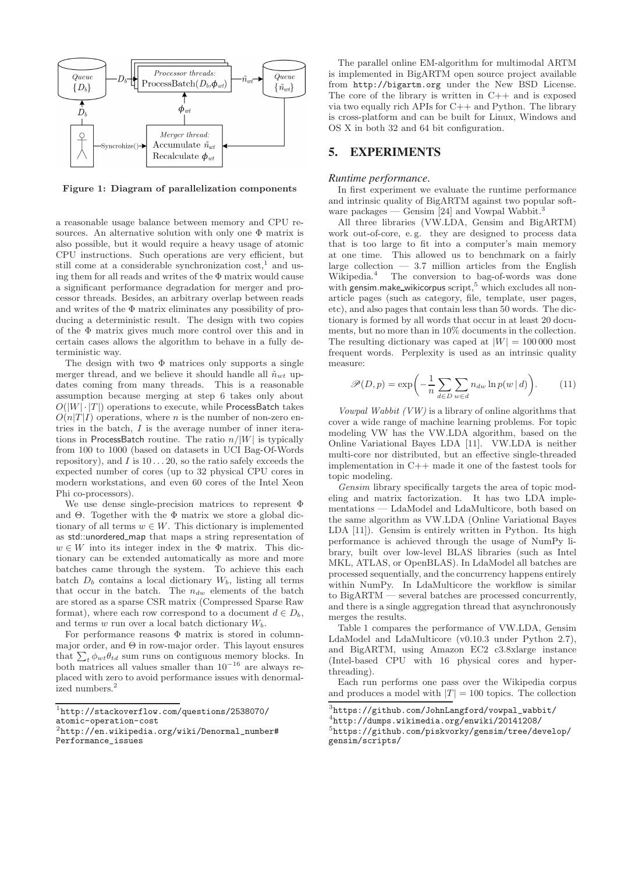

Figure 1: Diagram of parallelization components

a reasonable usage balance between memory and CPU resources. An alternative solution with only one Φ matrix is also possible, but it would require a heavy usage of atomic CPU instructions. Such operations are very efficient, but still come at a considerable synchronization  $\text{cost}^1$ , and using them for all reads and writes of the Φ matrix would cause a significant performance degradation for merger and processor threads. Besides, an arbitrary overlap between reads and writes of the  $\Phi$  matrix eliminates any possibility of producing a deterministic result. The design with two copies of the Φ matrix gives much more control over this and in certain cases allows the algorithm to behave in a fully deterministic way.

The design with two  $\Phi$  matrices only supports a single merger thread, and we believe it should handle all  $\tilde{n}_{wt}$  updates coming from many threads. This is a reasonable assumption because merging at step 6 takes only about  $O(|W| \cdot |T|)$  operations to execute, while ProcessBatch takes  $O(n|T|I)$  operations, where n is the number of non-zero entries in the batch, I is the average number of inner iterations in ProcessBatch routine. The ratio  $n/|W|$  is typically from 100 to 1000 (based on datasets in UCI Bag-Of-Words repository), and  $I$  is  $10...20$ , so the ratio safely exceeds the expected number of cores (up to 32 physical CPU cores in modern workstations, and even 60 cores of the Intel Xeon Phi co-processors).

We use dense single-precision matrices to represent Φ and  $\Theta$ . Together with the  $\Phi$  matrix we store a global dictionary of all terms  $w \in W$ . This dictionary is implemented as std::unordered\_map that maps a string representation of  $w \in W$  into its integer index in the  $\Phi$  matrix. This dictionary can be extended automatically as more and more batches came through the system. To achieve this each batch  $D_b$  contains a local dictionary  $W_b$ , listing all terms that occur in the batch. The  $n_{dw}$  elements of the batch are stored as a sparse CSR matrix (Compressed Sparse Raw format), where each row correspond to a document  $d \in D_b$ , and terms w run over a local batch dictionary  $W<sub>b</sub>$ .

For performance reasons  $\Phi$  matrix is stored in columnmajor order, and  $\Theta$  in row-major order. This layout ensures that  $\sum_{t} \phi_{wt} \theta_{td}$  sum runs on contiguous memory blocks. In both matrices all values smaller than 10<sup>−</sup><sup>16</sup> are always replaced with zero to avoid performance issues with denormalized numbers.<sup>2</sup>

The parallel online EM-algorithm for multimodal ARTM is implemented in BigARTM open source project available from http://bigartm.org under the New BSD License. The core of the library is written in  $C++$  and is exposed via two equally rich APIs for C++ and Python. The library is cross-platform and can be built for Linux, Windows and OS X in both 32 and 64 bit configuration.

# **5. EXPERIMENTS**

## *Runtime performance.*

In first experiment we evaluate the runtime performance and intrinsic quality of BigARTM against two popular software packages — Gensim [24] and Vowpal Wabbit.<sup>3</sup>

All three libraries (VW.LDA, Gensim and BigARTM) work out-of-core, e. g. they are designed to process data that is too large to fit into a computer's main memory at one time. This allowed us to benchmark on a fairly large collection  $-3.7$  million articles from the English Wikipedia.<sup>4</sup> The conversion to bag-of-words was done with gensim.make wikicorpus script, $5$  which excludes all nonarticle pages (such as category, file, template, user pages, etc), and also pages that contain less than 50 words. The dictionary is formed by all words that occur in at least 20 documents, but no more than in 10% documents in the collection. The resulting dictionary was caped at  $|W| = 100000$  most frequent words. Perplexity is used as an intrinsic quality measure:

$$
\mathcal{P}(D, p) = \exp\bigg(-\frac{1}{n}\sum_{d \in D} \sum_{w \in d} n_{dw} \ln p(w | d)\bigg). \tag{11}
$$

Vowpal Wabbit (VW) is a library of online algorithms that cover a wide range of machine learning problems. For topic modeling VW has the VW.LDA algorithm, based on the Online Variational Bayes LDA [11]. VW.LDA is neither multi-core nor distributed, but an effective single-threaded implementation in C++ made it one of the fastest tools for topic modeling.

Gensim library specifically targets the area of topic modeling and matrix factorization. It has two LDA implementations — LdaModel and LdaMulticore, both based on the same algorithm as VW.LDA (Online Variational Bayes LDA [11]). Gensim is entirely written in Python. Its high performance is achieved through the usage of NumPy library, built over low-level BLAS libraries (such as Intel MKL, ATLAS, or OpenBLAS). In LdaModel all batches are processed sequentially, and the concurrency happens entirely within NumPy. In LdaMulticore the workflow is similar to BigARTM — several batches are processed concurrently, and there is a single aggregation thread that asynchronously merges the results.

Table 1 compares the performance of VW.LDA, Gensim LdaModel and LdaMulticore (v0.10.3 under Python 2.7), and BigARTM, using Amazon EC2 c3.8xlarge instance (Intel-based CPU with 16 physical cores and hyperthreading).

Each run performs one pass over the Wikipedia corpus and produces a model with  $|T| = 100$  topics. The collection

<sup>1</sup> http://stackoverflow.com/questions/2538070/ atomic-operation-cost

 $^{2}$ http:// $\epsilon$ n.wikipedia.org/wiki/Denormal\_number# Performance\_issues

 $^3$ https://github.com/JohnLangford/vowpal\_wabbit/ 4 http://dumps.wikimedia.org/enwiki/20141208/ 5 https://github.com/piskvorky/gensim/tree/develop/ gensim/scripts/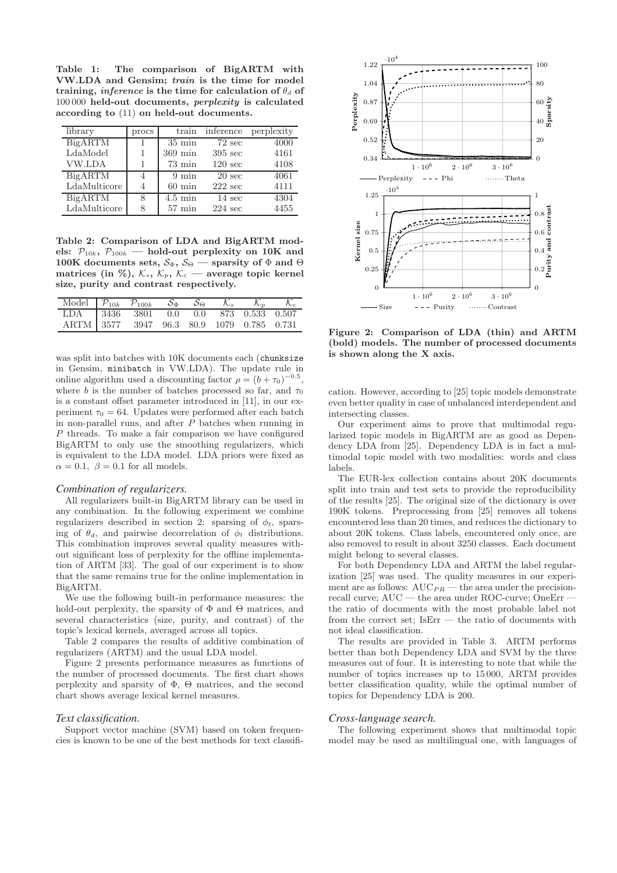Table 1: The comparison of BigARTM with VW.LDA and Gensim; train is the time for model training, *inference* is the time for calculation of  $\theta_d$  of 100 000 held-out documents, perplexity is calculated according to (11) on held-out documents.

| library       | procs | train                | inference         | perplexity |
|---------------|-------|----------------------|-------------------|------------|
| BigARTM       |       | $35 \text{ min}$     | $72 \text{ sec}$  | 4000       |
| LdaModel      |       | $369 \,\mathrm{min}$ | $395 \text{ sec}$ | 4161       |
| <b>VW.LDA</b> |       | $73 \text{ min}$     | $120 \text{ sec}$ | 4108       |
| BigARTM       | 4     | $9 \text{ min}$      | $20 \text{ sec}$  | 4061       |
| LdaMulticore  | 4     | $60 \text{ min}$     | $222 \text{ sec}$ | 4111       |
| BigARTM       | 8     | $4.5 \text{ min}$    | $14 \text{ sec}$  | 4304       |
| LdaMulticore  | 8     | $57 \text{ min}$     | $224 \text{ sec}$ | 4455       |

Table 2: Comparison of LDA and BigARTM models:  $\mathcal{P}_{10k}$ ,  $\mathcal{P}_{100k}$  — hold-out perplexity on 10K and 100K documents sets,  $S_{\Phi}$ ,  $S_{\Theta}$  — sparsity of  $\Phi$  and  $\Theta$ matrices (in %),  $\mathcal{K}_s$ ,  $\mathcal{K}_p$ ,  $\mathcal{K}_c$  — average topic kernel size, purity and contrast respectively.

| Model $\mathcal{P}_{10k}$ $\mathcal{P}_{100k}$ $\mathcal{S}_{\Phi}$ $\mathcal{S}_{\Theta}$ $\mathcal{K}_{s}$ $\mathcal{K}_{p}$ $\mathcal{K}_{c}$ |  |  |  |  |
|--------------------------------------------------------------------------------------------------------------------------------------------------|--|--|--|--|
| LDA 3436 3801 0.0 0.0 873 0.533 0.507                                                                                                            |  |  |  |  |
| ARTM 3577 3947 96.3 80.9 1079 0.785 0.731                                                                                                        |  |  |  |  |

was split into batches with 10K documents each (chunksize in Gensim, minibatch in VW.LDA). The update rule in online algorithm used a discounting factor  $\rho = (b + \tau_0)^{-0.5}$ , where b is the number of batches processed so far, and  $\tau_0$ is a constant offset parameter introduced in [11], in our experiment  $\tau_0 = 64$ . Updates were performed after each batch in non-parallel runs, and after  $P$  batches when running in P threads. To make a fair comparison we have configured BigARTM to only use the smoothing regularizers, which is equivalent to the LDA model. LDA priors were fixed as  $\alpha = 0.1, \ \beta = 0.1$  for all models.

#### *Combination of regularizers.*

All regularizers built-in BigARTM library can be used in any combination. In the following experiment we combine regularizers described in section 2: sparsing of  $\phi_t$ , sparsing of  $\theta_d$ , and pairwise decorrelation of  $\phi_t$  distributions. This combination improves several quality measures without significant loss of perplexity for the offline implementation of ARTM [33]. The goal of our experiment is to show that the same remains true for the online implementation in BigARTM.

We use the following built-in performance measures: the hold-out perplexity, the sparsity of  $\Phi$  and  $\Theta$  matrices, and several characteristics (size, purity, and contrast) of the topic's lexical kernels, averaged across all topics.

Table 2 compares the results of additive combination of regularizers (ARTM) and the usual LDA model.

Figure 2 presents performance measures as functions of the number of processed documents. The first chart shows perplexity and sparsity of Φ, Θ matrices, and the second chart shows average lexical kernel measures.

#### *Text classification.*

Support vector machine (SVM) based on token frequencies is known to be one of the best methods for text classifi-



Figure 2: Comparison of LDA (thin) and ARTM (bold) models. The number of processed documents is shown along the X axis.

cation. However, according to [25] topic models demonstrate even better quality in case of unbalanced interdependent and intersecting classes.

Our experiment aims to prove that multimodal regularized topic models in BigARTM are as good as Dependency LDA from [25]. Dependency LDA is in fact a multimodal topic model with two modalities: words and class labels.

The EUR-lex collection contains about 20K documents split into train and test sets to provide the reproducibility of the results [25]. The original size of the dictionary is over 190K tokens. Preprocessing from [25] removes all tokens encountered less than 20 times, and reduces the dictionary to about 20K tokens. Class labels, encountered only once, are also removed to result in about 3250 classes. Each document might belong to several classes.

For both Dependency LDA and ARTM the label regularization [25] was used. The quality measures in our experiment are as follows:  $AUC_{PR}$  — the area under the precisionrecall curve; AUC — the area under ROC-curve; OneErr the ratio of documents with the most probable label not from the correct set; IsErr — the ratio of documents with not ideal classification.

The results are provided in Table 3. ARTM performs better than both Dependency LDA and SVM by the three measures out of four. It is interesting to note that while the number of topics increases up to 15 000, ARTM provides better classification quality, while the optimal number of topics for Dependency LDA is 200.

#### *Cross-language search.*

The following experiment shows that multimodal topic model may be used as multilingual one, with languages of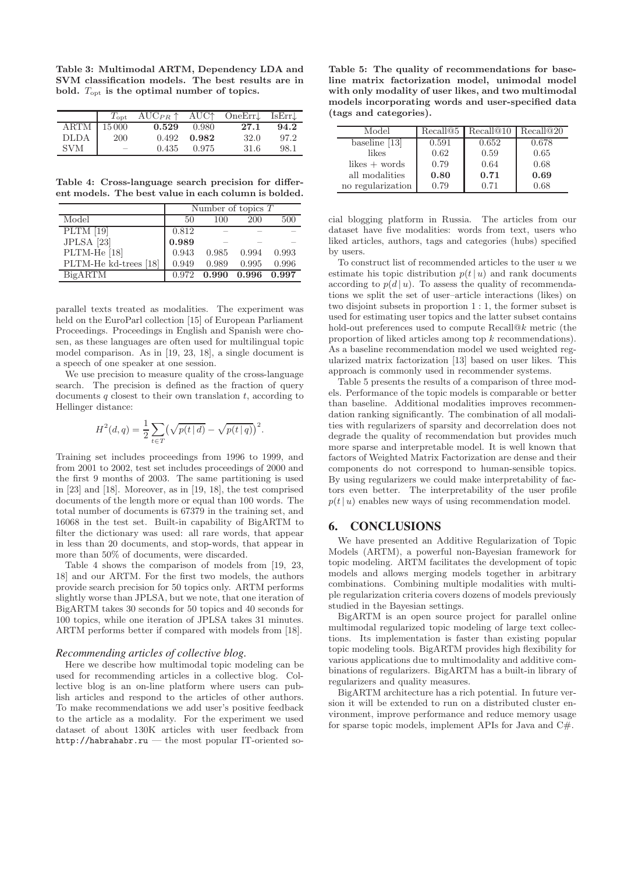Table 3: Multimodal ARTM, Dependency LDA and SVM classification models. The best results are in bold.  $T_{opt}$  is the optimal number of topics.

|            |                          | $T_{\text{opt}}$ AUC <sub>PR</sub> $\uparrow$ AUC $\uparrow$ OneErr $\downarrow$ IsErr $\downarrow$ |       |       |      |
|------------|--------------------------|-----------------------------------------------------------------------------------------------------|-------|-------|------|
| ARTM 15000 |                          | 0.529                                                                                               | 0.980 | 27.1  | 94.2 |
| DLDA       | 200                      | 0.492                                                                                               | 0.982 | 32.0  | 97.2 |
| <b>SVM</b> | $\overline{\phantom{m}}$ | 0.435                                                                                               | 0.975 | -31.6 | 98.1 |

Table 4: Cross-language search precision for different models. The best value in each column is bolded.

|                       | Number of topics $T$ |       |            |       |
|-----------------------|----------------------|-------|------------|-------|
| Model                 | 50                   | 100   | <b>200</b> | 500   |
| PLTM $[19]$           | 0.812                |       |            |       |
| JPLSA <sup>[23]</sup> | 0.989                |       |            |       |
| PLTM-He [18]          | 0.943                | 0.985 | 0.994      | 0.993 |
| PLTM-He kd-trees [18] | 0.949                | 0.989 | 0.995      | 0.996 |
| <b>BigARTM</b>        | 0.972                | 0.990 | 0.996      | 0.997 |

parallel texts treated as modalities. The experiment was held on the EuroParl collection [15] of European Parliament Proceedings. Proceedings in English and Spanish were chosen, as these languages are often used for multilingual topic model comparison. As in [19, 23, 18], a single document is a speech of one speaker at one session.

We use precision to measure quality of the cross-language search. The precision is defined as the fraction of query documents  $q$  closest to their own translation  $t$ , according to Hellinger distance:

$$
H^{2}(d,q) = \frac{1}{2} \sum_{t \in T} (\sqrt{p(t | d)} - \sqrt{p(t | q)})^{2}.
$$

Training set includes proceedings from 1996 to 1999, and from 2001 to 2002, test set includes proceedings of 2000 and the first 9 months of 2003. The same partitioning is used in [23] and [18]. Moreover, as in [19, 18], the test comprised documents of the length more or equal than 100 words. The total number of documents is 67379 in the training set, and 16068 in the test set. Built-in capability of BigARTM to filter the dictionary was used: all rare words, that appear in less than 20 documents, and stop-words, that appear in more than 50% of documents, were discarded.

Table 4 shows the comparison of models from [19, 23, 18] and our ARTM. For the first two models, the authors provide search precision for 50 topics only. ARTM performs slightly worse than JPLSA, but we note, that one iteration of BigARTM takes 30 seconds for 50 topics and 40 seconds for 100 topics, while one iteration of JPLSA takes 31 minutes. ARTM performs better if compared with models from [18].

#### *Recommending articles of collective blog.*

Here we describe how multimodal topic modeling can be used for recommending articles in a collective blog. Collective blog is an on-line platform where users can publish articles and respond to the articles of other authors. To make recommendations we add user's positive feedback to the article as a modality. For the experiment we used dataset of about 130K articles with user feedback from http://habrahabr.ru — the most popular IT-oriented so-

Table 5: The quality of recommendations for baseline matrix factorization model, unimodal model with only modality of user likes, and two multimodal models incorporating words and user-specified data (tags and categories).

| Model                    | Recall <sup>Q5</sup> | Recall@10 | Recall@20 |
|--------------------------|----------------------|-----------|-----------|
| baseline $\overline{13}$ | 0.591                | 0.652     | 0.678     |
| likes                    | 0.62                 | 0.59      | 0.65      |
| likes $+$ words          | 0.79                 | 0.64      | 0.68      |
| all modalities           | 0.80                 | 0.71      | 0.69      |
| no regularization        | 0.79                 | በ 71      | 0.68      |

cial blogging platform in Russia. The articles from our dataset have five modalities: words from text, users who liked articles, authors, tags and categories (hubs) specified by users.

To construct list of recommended articles to the user  $u$  we estimate his topic distribution  $p(t | u)$  and rank documents according to  $p(d | u)$ . To assess the quality of recommendations we split the set of user–article interactions (likes) on two disjoint subsets in proportion 1 : 1, the former subset is used for estimating user topics and the latter subset contains hold-out preferences used to compute Recall@k metric (the proportion of liked articles among top  $k$  recommendations). As a baseline recommendation model we used weighted regularized matrix factorization [13] based on user likes. This approach is commonly used in recommender systems.

Table 5 presents the results of a comparison of three models. Performance of the topic models is comparable or better than baseline. Additional modalities improves recommendation ranking significantly. The combination of all modalities with regularizers of sparsity and decorrelation does not degrade the quality of recommendation but provides much more sparse and interpretable model. It is well known that factors of Weighted Matrix Factorization are dense and their components do not correspond to human-sensible topics. By using regularizers we could make interpretability of factors even better. The interpretability of the user profile  $p(t | u)$  enables new ways of using recommendation model.

## **6. CONCLUSIONS**

We have presented an Additive Regularization of Topic Models (ARTM), a powerful non-Bayesian framework for topic modeling. ARTM facilitates the development of topic models and allows merging models together in arbitrary combinations. Combining multiple modalities with multiple regularization criteria covers dozens of models previously studied in the Bayesian settings.

BigARTM is an open source project for parallel online multimodal regularized topic modeling of large text collections. Its implementation is faster than existing popular topic modeling tools. BigARTM provides high flexibility for various applications due to multimodality and additive combinations of regularizers. BigARTM has a built-in library of regularizers and quality measures.

BigARTM architecture has a rich potential. In future version it will be extended to run on a distributed cluster environment, improve performance and reduce memory usage for sparse topic models, implement APIs for Java and C#.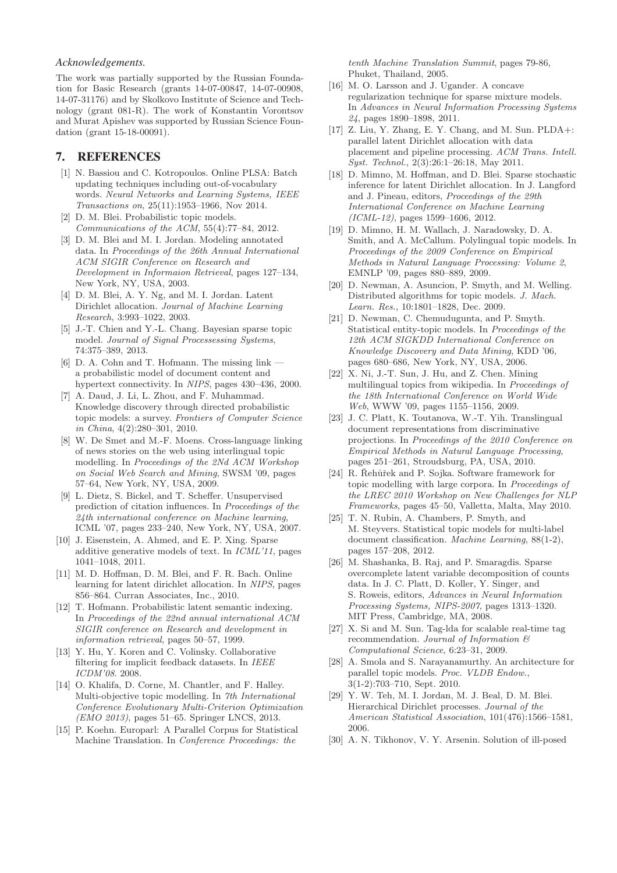#### *Acknowledgements.*

The work was partially supported by the Russian Foundation for Basic Research (grants 14-07-00847, 14-07-00908, 14-07-31176) and by Skolkovo Institute of Science and Technology (grant 081-R). The work of Konstantin Vorontsov and Murat Apishev was supported by Russian Science Foundation (grant 15-18-00091).

## **7. REFERENCES**

- [1] N. Bassiou and C. Kotropoulos. Online PLSA: Batch updating techniques including out-of-vocabulary words. Neural Networks and Learning Systems, IEEE Transactions on, 25(11):1953–1966, Nov 2014.
- [2] D. M. Blei. Probabilistic topic models. Communications of the ACM, 55(4):77–84, 2012.
- [3] D. M. Blei and M. I. Jordan. Modeling annotated data. In Proceedings of the 26th Annual International ACM SIGIR Conference on Research and Development in Informaion Retrieval, pages 127–134, New York, NY, USA, 2003.
- [4] D. M. Blei, A. Y. Ng, and M. I. Jordan. Latent Dirichlet allocation. Journal of Machine Learning Research, 3:993–1022, 2003.
- [5] J.-T. Chien and Y.-L. Chang. Bayesian sparse topic model. Journal of Signal Processessing Systems, 74:375–389, 2013.
- [6] D. A. Cohn and T. Hofmann. The missing link a probabilistic model of document content and hypertext connectivity. In NIPS, pages 430–436, 2000.
- [7] A. Daud, J. Li, L. Zhou, and F. Muhammad. Knowledge discovery through directed probabilistic topic models: a survey. Frontiers of Computer Science in China, 4(2):280–301, 2010.
- [8] W. De Smet and M.-F. Moens. Cross-language linking of news stories on the web using interlingual topic modelling. In Proceedings of the 2Nd ACM Workshop on Social Web Search and Mining, SWSM '09, pages 57–64, New York, NY, USA, 2009.
- [9] L. Dietz, S. Bickel, and T. Scheffer. Unsupervised prediction of citation influences. In Proceedings of the 24th international conference on Machine learning, ICML '07, pages 233–240, New York, NY, USA, 2007.
- [10] J. Eisenstein, A. Ahmed, and E. P. Xing. Sparse additive generative models of text. In ICML'11, pages 1041–1048, 2011.
- [11] M. D. Hoffman, D. M. Blei, and F. R. Bach. Online learning for latent dirichlet allocation. In NIPS, pages 856–864. Curran Associates, Inc., 2010.
- [12] T. Hofmann. Probabilistic latent semantic indexing. In Proceedings of the 22nd annual international ACM SIGIR conference on Research and development in information retrieval, pages 50–57, 1999.
- [13] Y. Hu, Y. Koren and C. Volinsky. Collaborative filtering for implicit feedback datasets. In IEEE ICDM'08. 2008.
- [14] O. Khalifa, D. Corne, M. Chantler, and F. Halley. Multi-objective topic modelling. In 7th International Conference Evolutionary Multi-Criterion Optimization (EMO 2013), pages 51–65. Springer LNCS, 2013.
- [15] P. Koehn. Europarl: A Parallel Corpus for Statistical Machine Translation. In Conference Proceedings: the

tenth Machine Translation Summit, pages 79-86, Phuket, Thailand, 2005.

- [16] M. O. Larsson and J. Ugander. A concave regularization technique for sparse mixture models. In Advances in Neural Information Processing Systems 24, pages 1890–1898, 2011.
- [17] Z. Liu, Y. Zhang, E. Y. Chang, and M. Sun. PLDA+: parallel latent Dirichlet allocation with data placement and pipeline processing. ACM Trans. Intell. Syst. Technol., 2(3):26:1–26:18, May 2011.
- [18] D. Mimno, M. Hoffman, and D. Blei. Sparse stochastic inference for latent Dirichlet allocation. In J. Langford and J. Pineau, editors, Proceedings of the 29th International Conference on Machine Learning (ICML-12), pages 1599–1606, 2012.
- [19] D. Mimno, H. M. Wallach, J. Naradowsky, D. A. Smith, and A. McCallum. Polylingual topic models. In Proceedings of the 2009 Conference on Empirical Methods in Natural Language Processing: Volume 2, EMNLP '09, pages 880–889, 2009.
- [20] D. Newman, A. Asuncion, P. Smyth, and M. Welling. Distributed algorithms for topic models. J. Mach. Learn. Res., 10:1801–1828, Dec. 2009.
- [21] D. Newman, C. Chemudugunta, and P. Smyth. Statistical entity-topic models. In Proceedings of the 12th ACM SIGKDD International Conference on Knowledge Discovery and Data Mining, KDD '06, pages 680–686, New York, NY, USA, 2006.
- [22] X. Ni, J.-T. Sun, J. Hu, and Z. Chen. Mining multilingual topics from wikipedia. In Proceedings of the 18th International Conference on World Wide Web, WWW '09, pages 1155–1156, 2009.
- [23] J. C. Platt, K. Toutanova, W.-T. Yih. Translingual document representations from discriminative projections. In Proceedings of the 2010 Conference on Empirical Methods in Natural Language Processing, pages 251–261, Stroudsburg, PA, USA, 2010.
- [24] R. Rehůřek and P. Sojka. Software framework for topic modelling with large corpora. In Proceedings of the LREC 2010 Workshop on New Challenges for NLP Frameworks, pages 45–50, Valletta, Malta, May 2010.
- [25] T. N. Rubin, A. Chambers, P. Smyth, and M. Steyvers. Statistical topic models for multi-label document classification. Machine Learning, 88(1-2), pages 157–208, 2012.
- [26] M. Shashanka, B. Raj, and P. Smaragdis. Sparse overcomplete latent variable decomposition of counts data. In J. C. Platt, D. Koller, Y. Singer, and S. Roweis, editors, Advances in Neural Information Processing Systems, NIPS-2007, pages 1313–1320. MIT Press, Cambridge, MA, 2008.
- [27] X. Si and M. Sun. Tag-lda for scalable real-time tag recommendation. Journal of Information & Computational Science, 6:23–31, 2009.
- [28] A. Smola and S. Narayanamurthy. An architecture for parallel topic models. Proc. VLDB Endow., 3(1-2):703–710, Sept. 2010.
- [29] Y. W. Teh, M. I. Jordan, M. J. Beal, D. M. Blei. Hierarchical Dirichlet processes. Journal of the American Statistical Association, 101(476):1566–1581, 2006.
- [30] A. N. Tikhonov, V. Y. Arsenin. Solution of ill-posed